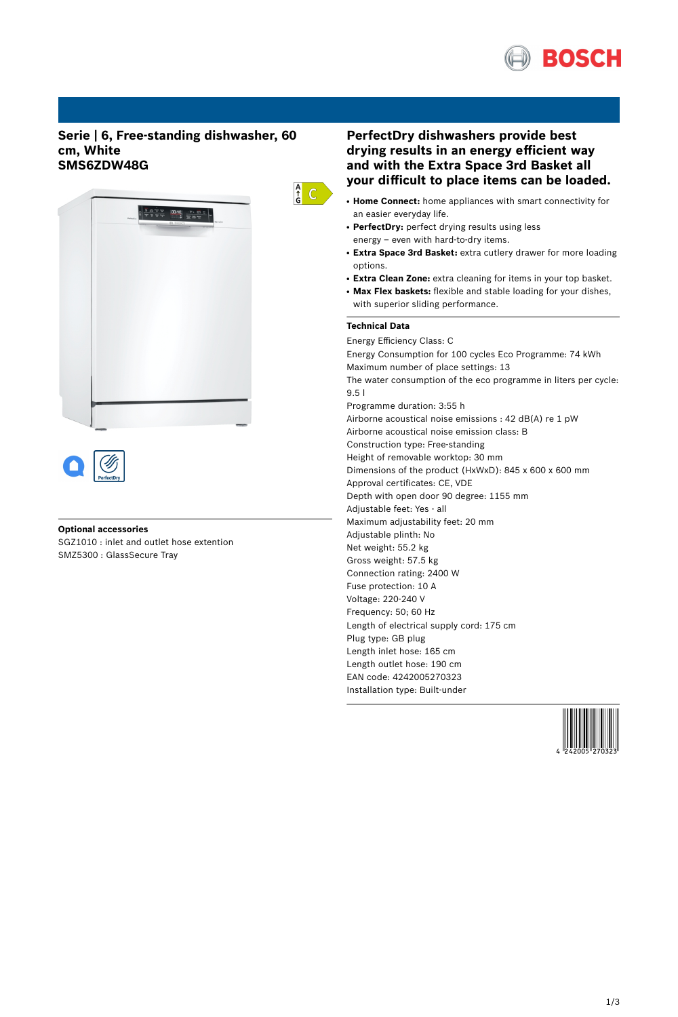

# **Serie | 6, Free-standing dishwasher, 60 cm, White SMS6ZDW48G**





# **Optional accessories**

SGZ1010 : inlet and outlet hose extention SMZ5300 : GlassSecure Tray

# **PerfectDry dishwashers provide best drying results in an energy efficient way and with the Extra Space 3rd Basket all your difficult to place items can be loaded.**

- **Home Connect:** home appliances with smart connectivity for an easier everyday life.
- PerfectDry: perfect drying results using less energy – even with hard-to-dry items.
- **Extra Space 3rd Basket:** extra cutlery drawer for more loading options.
- **Extra Clean Zone:** extra cleaning for items in your top basket.
- **Max Flex baskets:** flexible and stable loading for your dishes, with superior sliding performance.

# **Technical Data**

 $\frac{A}{G}$  C

Energy Efficiency Class: C Energy Consumption for 100 cycles Eco Programme: 74 kWh Maximum number of place settings: 13 The water consumption of the eco programme in liters per cycle: 9.5 l Programme duration: 3:55 h Airborne acoustical noise emissions : 42 dB(A) re 1 pW Airborne acoustical noise emission class: B Construction type: Free-standing Height of removable worktop: 30 mm Dimensions of the product (HxWxD): 845 x 600 x 600 mm Approval certificates: CE, VDE Depth with open door 90 degree: 1155 mm Adjustable feet: Yes - all Maximum adjustability feet: 20 mm Adjustable plinth: No Net weight: 55.2 kg Gross weight: 57.5 kg Connection rating: 2400 W Fuse protection: 10 A Voltage: 220-240 V Frequency: 50; 60 Hz Length of electrical supply cord: 175 cm Plug type: GB plug Length inlet hose: 165 cm Length outlet hose: 190 cm EAN code: 4242005270323 Installation type: Built-under

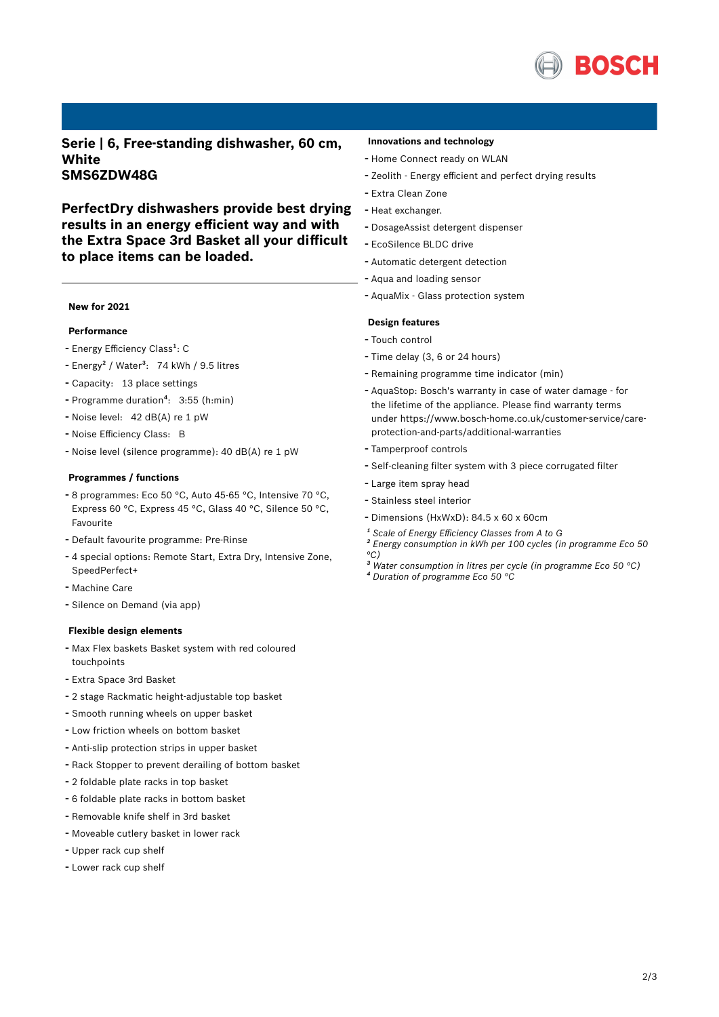

**Serie | 6, Free-standing dishwasher, 60 cm, White SMS6ZDW48G**

**PerfectDry dishwashers provide best drying results in an energy efficient way and with the Extra Space 3rd Basket all your difficult to place items can be loaded.**

## **New for 2021**

#### **Performance**

- Energy Efficiency Class<sup>1</sup>: C
- Energy<sup>2</sup> / Water<sup>3</sup>: 74 kWh / 9.5 litres
- Capacity: <sup>13</sup> place settings
- Programme duration<sup>4</sup>: 3:55 (h:min)
- Noise level: <sup>42</sup> dB(A) re <sup>1</sup> pW
- Noise Efficiency Class: <sup>B</sup>
- Noise level (silence programme): <sup>40</sup> dB(A) re <sup>1</sup> pW

#### **Programmes / functions**

- <sup>8</sup> programmes: Eco <sup>50</sup> °C, Auto 45-65 °C, Intensive <sup>70</sup> °C, Express 60 °C, Express 45 °C, Glass 40 °C, Silence 50 °C, Favourite
- Default favourite programme: Pre-Rinse
- <sup>4</sup> special options: Remote Start, Extra Dry, Intensive Zone, SpeedPerfect+
- Machine Care
- Silence on Demand (via app)

#### **Flexible design elements**

- Max Flex baskets Basket system with red coloured touchpoints
- Extra Space 3rd Basket
- <sup>2</sup> stage Rackmatic height-adjustable top basket
- Smooth running wheels on upper basket
- Low friction wheels on bottom basket
- Anti-slip protection strips in upper basket
- Rack Stopper to prevent derailing of bottom basket
- <sup>2</sup> foldable plate racks in top basket
- <sup>6</sup> foldable plate racks in bottom basket
- Removable knife shelf in 3rd basket
- Moveable cutlery basket in lower rack
- Upper rack cup shelf
- Lower rack cup shelf

### **Innovations and technology**

- Home Connect ready on WLAN
- Zeolith Energy efficient and perfect drying results
- Extra Clean Zone
- Heat exchanger.
- DosageAssist detergent dispenser
- EcoSilence BLDC drive
- Automatic detergent detection
- Aqua and loading sensor
- AquaMix Glass protection system

### **Design features**

- Touch control
- Time delay (3, <sup>6</sup> or <sup>24</sup> hours)
- Remaining programme time indicator (min)
- AquaStop: Bosch's warranty in case of water damage for the lifetime of the appliance. Please find warranty terms under https://www.bosch-home.co.uk/customer-service/careprotection-and-parts/additional-warranties
- Tamperproof controls
- Self-cleaning filter system with <sup>3</sup> piece corrugated filter
- Large item spray head
- Stainless steel interior
- Dimensions (HxWxD): 84.5 x 60 x 60cm
- *¹ Scale of Energy Efficiency Classes from A to G*
- *² Energy consumption in kWh per 100 cycles (in programme Eco 50 °C)*
- *³ Water consumption in litres per cycle (in programme Eco 50 °C)*
- *⁴ Duration of programme Eco 50 °C*